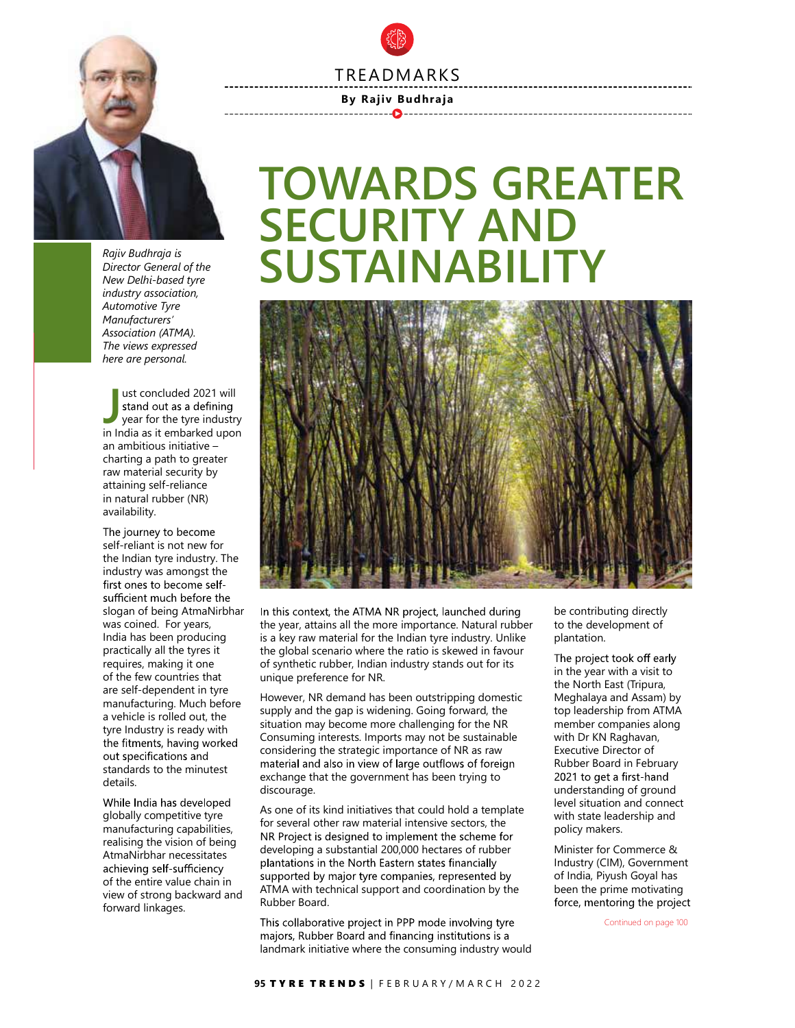## TREADMARKS

## By Rajiv Budhraja



Rajiv Budhraja is Director General of the New Delhi-based tyre industry association, Automotive Tyre Manufacturers' Association (ATMA). The views expressed here are personal.

ust concluded 2021 will<br>
stand out as a defining<br>
year for the tyre industry<br>
in locia se it embere led unes in India as it embarked upon an ambitious initiative – charting a path to greater raw material security by attaining self-reliance in natural rubber (NR) availability.

The journey to become self-reliant is not new for the Indian tyre industry. The industry was amongst the first ones to become selfsufficient much before the was coined. For years, India has been producing practically all the tyres it requires, making it one of the few countries that are self-dependent in tyre manufacturing. Much before a vehicle is rolled out, the tyre Industry is ready with the fitments, having worked out specifications and details.

While India has developed globally competitive tyre realising the vision of being achieving self-sufficiency view of strong backward and forward linkages.

## TOWARDS GREATER SECURITY AND SUSTAINABILIT



the year, attains all the more importance. Natural rubber is a key raw material for the Indian tyre industry. Unlike the global scenario where the ratio is skewed in favour<br>of synthetic subbor, loding industry stands out for its The project took off early of synthetic rubber, Indian industry stands out for its unique preference for NR. slogan of being AtmaNirbhar In this context, the ATMA NR project, launched during

However, NR demand has been outstripping domestic supply and the gap is widening. Going forward, the situation may become more challenging for the NR Consuming interests. Imports may not be sustainable considering the strategic importance of NR as raw exchange that the government has been trying to 2021 to get a first-hand discourage. standards to the minutest material and also in view of large outflows of foreign

the global scenario where the ratio is skewed in favour<br>
of synthetic rubber, Indian industry stands out for its<br>
in the pear with a visit to<br>
unique preference for NR.<br>
However, NR. demand also been outstripping domestic As one of its kind initiatives that could hold a template for several other raw material intensive sectors, the developing a substantial 200,000 hectares of rubber ATMA with technical support and coordination by the Rubber Board. manufacturing capabilities,<br>manufacturing capabilities,<br>manufacturing capabilities,<br>manufacturing the vicion of boing and NR Project is designed to implement the scheme for AtmaNirbhar necessitates<br>
achioving colf cufficionally<br>
plantations in the North Eastern states financially of the entire value chain in supported by major tyre companies, represented by of the entire value chain in

landmark initiative where the consuming industry would

be contributing directly to the development of plantation.

in the year with a visit to the North East (Tripura, Meghalaya and Assam) by top leadership from ATMA member companies along with Dr KN Raghavan, Executive Director of Rubber Board in February understanding of ground level situation and connect with state leadership and policy makers.

Minister for Commerce & Industry (CIM), Government of India, Piyush Goyal has been the prime motivating

Continued on page 100